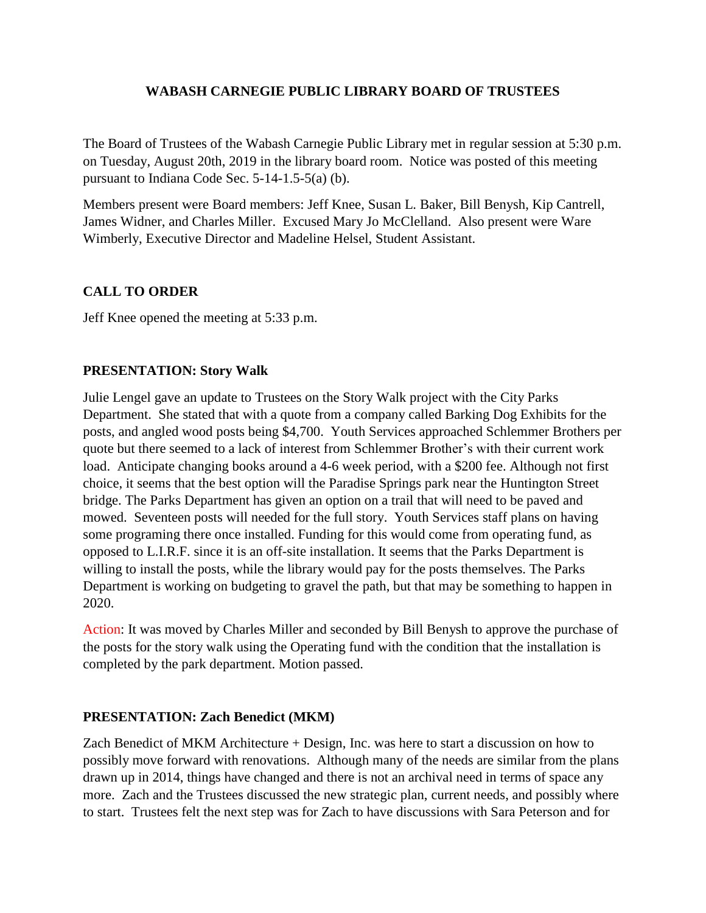### **WABASH CARNEGIE PUBLIC LIBRARY BOARD OF TRUSTEES**

The Board of Trustees of the Wabash Carnegie Public Library met in regular session at 5:30 p.m. on Tuesday, August 20th, 2019 in the library board room. Notice was posted of this meeting pursuant to Indiana Code Sec. 5-14-1.5-5(a) (b).

Members present were Board members: Jeff Knee, Susan L. Baker, Bill Benysh, Kip Cantrell, James Widner, and Charles Miller. Excused Mary Jo McClelland. Also present were Ware Wimberly, Executive Director and Madeline Helsel, Student Assistant.

# **CALL TO ORDER**

Jeff Knee opened the meeting at 5:33 p.m.

# **PRESENTATION: Story Walk**

Julie Lengel gave an update to Trustees on the Story Walk project with the City Parks Department. She stated that with a quote from a company called Barking Dog Exhibits for the posts, and angled wood posts being \$4,700. Youth Services approached Schlemmer Brothers per quote but there seemed to a lack of interest from Schlemmer Brother's with their current work load. Anticipate changing books around a 4-6 week period, with a \$200 fee. Although not first choice, it seems that the best option will the Paradise Springs park near the Huntington Street bridge. The Parks Department has given an option on a trail that will need to be paved and mowed. Seventeen posts will needed for the full story. Youth Services staff plans on having some programing there once installed. Funding for this would come from operating fund, as opposed to L.I.R.F. since it is an off-site installation. It seems that the Parks Department is willing to install the posts, while the library would pay for the posts themselves. The Parks Department is working on budgeting to gravel the path, but that may be something to happen in 2020.

Action: It was moved by Charles Miller and seconded by Bill Benysh to approve the purchase of the posts for the story walk using the Operating fund with the condition that the installation is completed by the park department. Motion passed.

# **PRESENTATION: Zach Benedict (MKM)**

Zach Benedict of MKM Architecture + Design, Inc. was here to start a discussion on how to possibly move forward with renovations. Although many of the needs are similar from the plans drawn up in 2014, things have changed and there is not an archival need in terms of space any more. Zach and the Trustees discussed the new strategic plan, current needs, and possibly where to start. Trustees felt the next step was for Zach to have discussions with Sara Peterson and for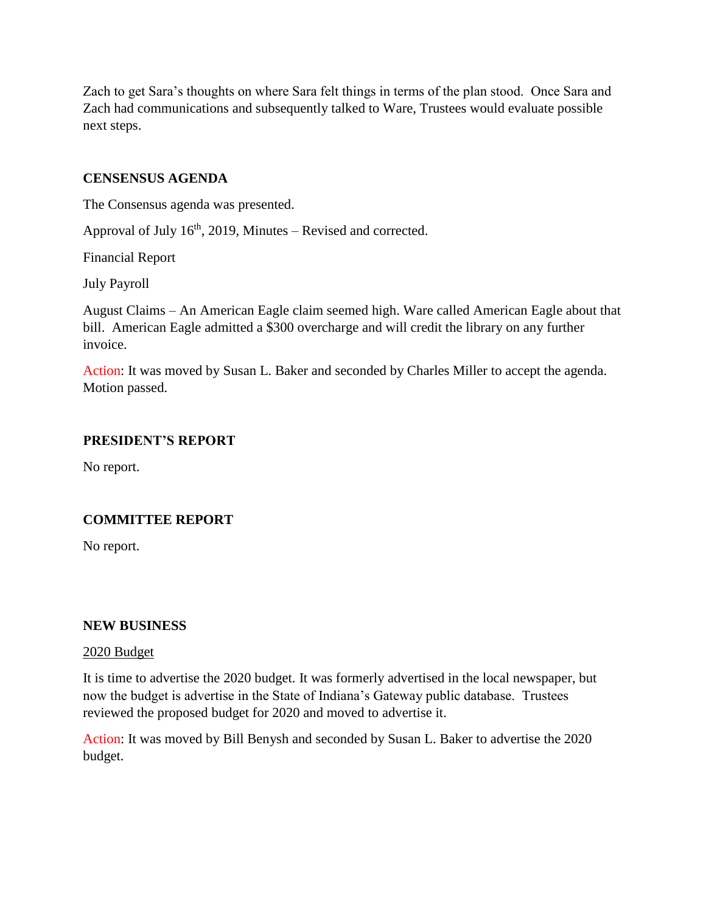Zach to get Sara's thoughts on where Sara felt things in terms of the plan stood. Once Sara and Zach had communications and subsequently talked to Ware, Trustees would evaluate possible next steps.

### **CENSENSUS AGENDA**

The Consensus agenda was presented.

Approval of July  $16<sup>th</sup>$ , 2019, Minutes – Revised and corrected.

Financial Report

July Payroll

August Claims – An American Eagle claim seemed high. Ware called American Eagle about that bill. American Eagle admitted a \$300 overcharge and will credit the library on any further invoice.

Action: It was moved by Susan L. Baker and seconded by Charles Miller to accept the agenda. Motion passed.

# **PRESIDENT'S REPORT**

No report.

# **COMMITTEE REPORT**

No report.

#### **NEW BUSINESS**

#### 2020 Budget

It is time to advertise the 2020 budget. It was formerly advertised in the local newspaper, but now the budget is advertise in the State of Indiana's Gateway public database. Trustees reviewed the proposed budget for 2020 and moved to advertise it.

Action: It was moved by Bill Benysh and seconded by Susan L. Baker to advertise the 2020 budget.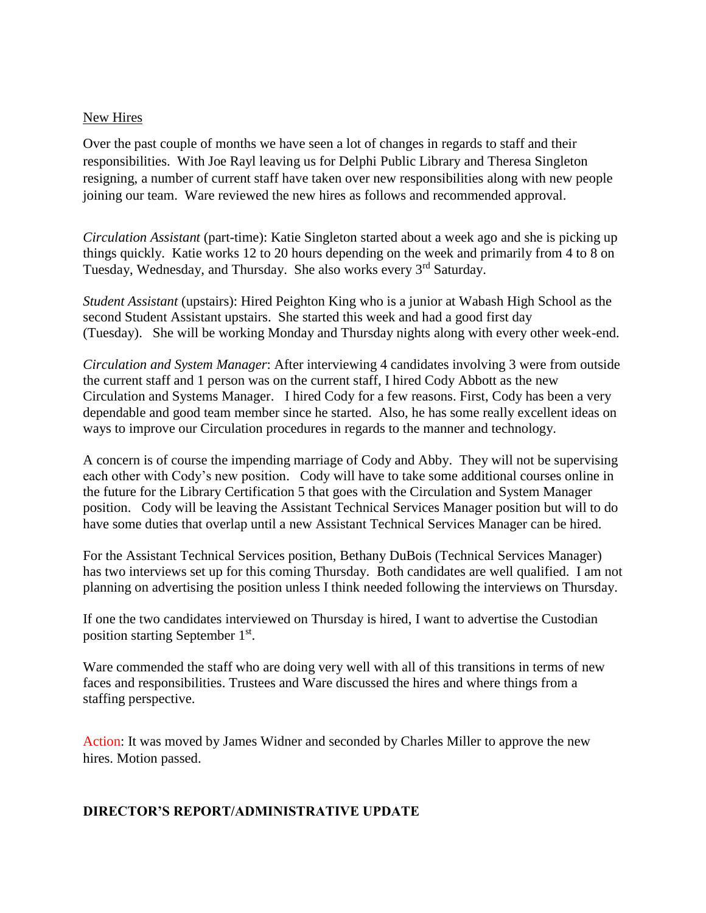#### New Hires

Over the past couple of months we have seen a lot of changes in regards to staff and their responsibilities. With Joe Rayl leaving us for Delphi Public Library and Theresa Singleton resigning, a number of current staff have taken over new responsibilities along with new people joining our team. Ware reviewed the new hires as follows and recommended approval.

*Circulation Assistant* (part-time): Katie Singleton started about a week ago and she is picking up things quickly. Katie works 12 to 20 hours depending on the week and primarily from 4 to 8 on Tuesday, Wednesday, and Thursday. She also works every 3<sup>rd</sup> Saturday.

*Student Assistant* (upstairs): Hired Peighton King who is a junior at Wabash High School as the second Student Assistant upstairs. She started this week and had a good first day (Tuesday). She will be working Monday and Thursday nights along with every other week-end.

*Circulation and System Manager*: After interviewing 4 candidates involving 3 were from outside the current staff and 1 person was on the current staff, I hired Cody Abbott as the new Circulation and Systems Manager. I hired Cody for a few reasons. First, Cody has been a very dependable and good team member since he started. Also, he has some really excellent ideas on ways to improve our Circulation procedures in regards to the manner and technology.

A concern is of course the impending marriage of Cody and Abby. They will not be supervising each other with Cody's new position. Cody will have to take some additional courses online in the future for the Library Certification 5 that goes with the Circulation and System Manager position. Cody will be leaving the Assistant Technical Services Manager position but will to do have some duties that overlap until a new Assistant Technical Services Manager can be hired.

For the Assistant Technical Services position, Bethany DuBois (Technical Services Manager) has two interviews set up for this coming Thursday. Both candidates are well qualified. I am not planning on advertising the position unless I think needed following the interviews on Thursday.

If one the two candidates interviewed on Thursday is hired, I want to advertise the Custodian position starting September 1<sup>st</sup>.

Ware commended the staff who are doing very well with all of this transitions in terms of new faces and responsibilities. Trustees and Ware discussed the hires and where things from a staffing perspective.

Action: It was moved by James Widner and seconded by Charles Miller to approve the new hires. Motion passed.

### **DIRECTOR'S REPORT/ADMINISTRATIVE UPDATE**